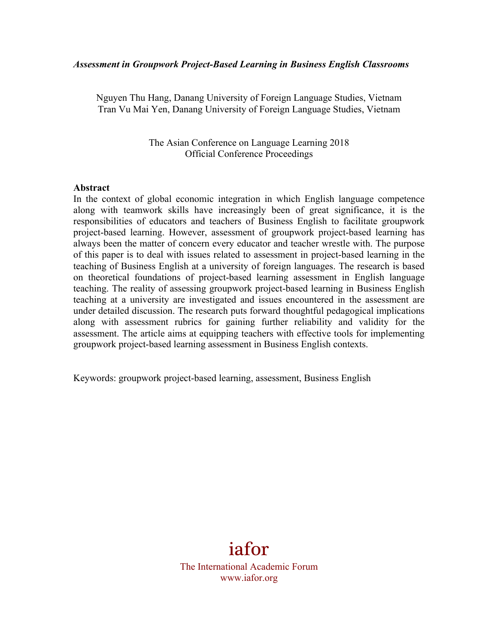#### *Assessment in Groupwork Project-Based Learning in Business English Classrooms*

Nguyen Thu Hang, Danang University of Foreign Language Studies, Vietnam Tran Vu Mai Yen, Danang University of Foreign Language Studies, Vietnam

> The Asian Conference on Language Learning 2018 Official Conference Proceedings

#### **Abstract**

In the context of global economic integration in which English language competence along with teamwork skills have increasingly been of great significance, it is the responsibilities of educators and teachers of Business English to facilitate groupwork project-based learning. However, assessment of groupwork project-based learning has always been the matter of concern every educator and teacher wrestle with. The purpose of this paper is to deal with issues related to assessment in project-based learning in the teaching of Business English at a university of foreign languages. The research is based on theoretical foundations of project-based learning assessment in English language teaching. The reality of assessing groupwork project-based learning in Business English teaching at a university are investigated and issues encountered in the assessment are under detailed discussion. The research puts forward thoughtful pedagogical implications along with assessment rubrics for gaining further reliability and validity for the assessment. The article aims at equipping teachers with effective tools for implementing groupwork project-based learning assessment in Business English contexts.

Keywords: groupwork project-based learning, assessment, Business English

# iafor

The International Academic Forum www.iafor.org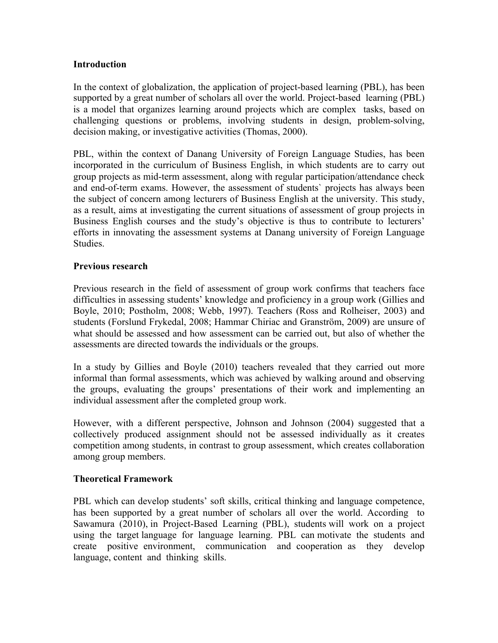#### **Introduction**

In the context of globalization, the application of project-based learning (PBL), has been supported by a great number of scholars all over the world. Project-based learning (PBL) is a model that organizes learning around projects which are complex tasks, based on challenging questions or problems, involving students in design, problem-solving, decision making, or investigative activities (Thomas, 2000).

PBL, within the context of Danang University of Foreign Language Studies, has been incorporated in the curriculum of Business English, in which students are to carry out group projects as mid-term assessment, along with regular participation/attendance check and end-of-term exams. However, the assessment of students` projects has always been the subject of concern among lecturers of Business English at the university. This study, as a result, aims at investigating the current situations of assessment of group projects in Business English courses and the study's objective is thus to contribute to lecturers' efforts in innovating the assessment systems at Danang university of Foreign Language Studies.

#### **Previous research**

Previous research in the field of assessment of group work confirms that teachers face difficulties in assessing students' knowledge and proficiency in a group work (Gillies and Boyle, 2010; Postholm, 2008; Webb, 1997). Teachers (Ross and Rolheiser, 2003) and students (Forslund Frykedal, 2008; Hammar Chiriac and Granström, 2009) are unsure of what should be assessed and how assessment can be carried out, but also of whether the assessments are directed towards the individuals or the groups.

In a study by Gillies and Boyle (2010) teachers revealed that they carried out more informal than formal assessments, which was achieved by walking around and observing the groups, evaluating the groups' presentations of their work and implementing an individual assessment after the completed group work.

However, with a different perspective, Johnson and Johnson (2004) suggested that a collectively produced assignment should not be assessed individually as it creates competition among students, in contrast to group assessment, which creates collaboration among group members.

# **Theoretical Framework**

PBL which can develop students' soft skills, critical thinking and language competence, has been supported by a great number of scholars all over the world. According to Sawamura (2010), in Project-Based Learning (PBL), students will work on a project using the target language for language learning. PBL can motivate the students and create positive environment, communication and cooperation as they develop language, content and thinking skills.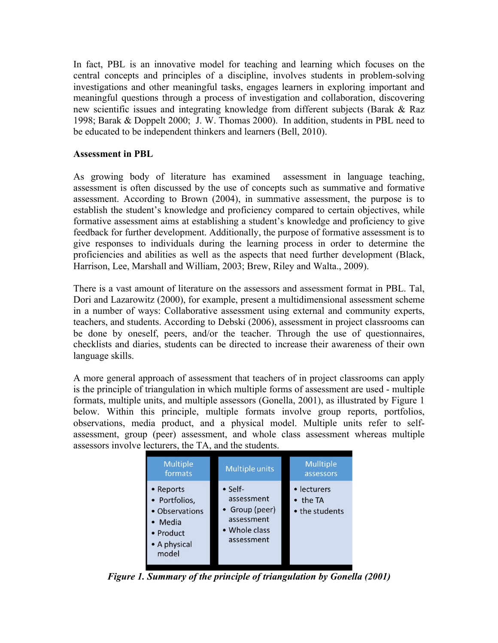In fact, PBL is an innovative model for teaching and learning which focuses on the central concepts and principles of a discipline, involves students in problem-solving investigations and other meaningful tasks, engages learners in exploring important and meaningful questions through a process of investigation and collaboration, discovering new scientific issues and integrating knowledge from different subjects (Barak & Raz 1998; Barak & Doppelt 2000; J. W. Thomas 2000). In addition, students in PBL need to be educated to be independent thinkers and learners (Bell, 2010).

#### **Assessment in PBL**

As growing body of literature has examined assessment in language teaching, assessment is often discussed by the use of concepts such as summative and formative assessment. According to Brown (2004), in summative assessment, the purpose is to establish the student's knowledge and proficiency compared to certain objectives, while formative assessment aims at establishing a student's knowledge and proficiency to give feedback for further development. Additionally, the purpose of formative assessment is to give responses to individuals during the learning process in order to determine the proficiencies and abilities as well as the aspects that need further development (Black, Harrison, Lee, Marshall and William, 2003; Brew, Riley and Walta., 2009).

There is a vast amount of literature on the assessors and assessment format in PBL. Tal, Dori and Lazarowitz (2000), for example, present a multidimensional assessment scheme in a number of ways: Collaborative assessment using external and community experts, teachers, and students. According to Debski (2006), assessment in project classrooms can be done by oneself, peers, and/or the teacher. Through the use of questionnaires, checklists and diaries, students can be directed to increase their awareness of their own language skills.

A more general approach of assessment that teachers of in project classrooms can apply is the principle of triangulation in which multiple forms of assessment are used - multiple formats, multiple units, and multiple assessors (Gonella, 2001), as illustrated by Figure 1 below. Within this principle, multiple formats involve group reports, portfolios, observations, media product, and a physical model. Multiple units refer to selfassessment, group (peer) assessment, and whole class assessment whereas multiple assessors involve lecturers, the TA, and the students.

| <b>Multiple</b><br>formats                                                                    | <b>Multiple units</b>                                                                        | <b>Mulltiple</b><br>assessors                     |
|-----------------------------------------------------------------------------------------------|----------------------------------------------------------------------------------------------|---------------------------------------------------|
| • Reports<br>• Portfolios,<br>• Observations<br>• Media<br>• Product<br>• A physical<br>model | $\bullet$ Self-<br>assessment<br>• Group (peer)<br>assessment<br>• Whole class<br>assessment | • lecturers<br>$\bullet$ the TA<br>• the students |

*Figure 1. Summary of the principle of triangulation by Gonella (2001)*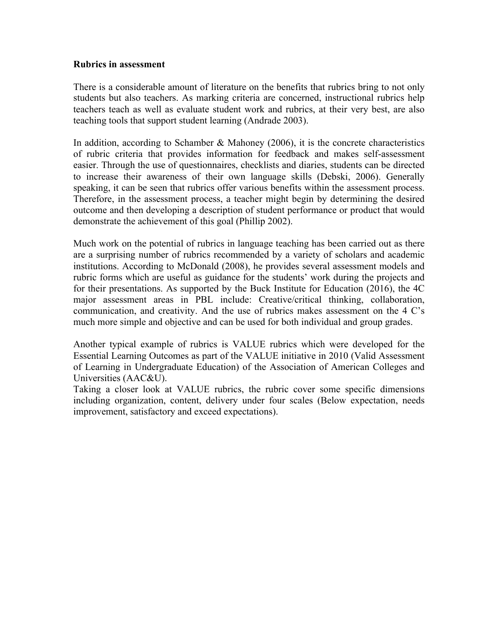#### **Rubrics in assessment**

There is a considerable amount of literature on the benefits that rubrics bring to not only students but also teachers. As marking criteria are concerned, instructional rubrics help teachers teach as well as evaluate student work and rubrics, at their very best, are also teaching tools that support student learning (Andrade 2003).

In addition, according to Schamber & Mahoney  $(2006)$ , it is the concrete characteristics of rubric criteria that provides information for feedback and makes self-assessment easier. Through the use of questionnaires, checklists and diaries, students can be directed to increase their awareness of their own language skills (Debski, 2006). Generally speaking, it can be seen that rubrics offer various benefits within the assessment process. Therefore, in the assessment process, a teacher might begin by determining the desired outcome and then developing a description of student performance or product that would demonstrate the achievement of this goal (Phillip 2002).

Much work on the potential of rubrics in language teaching has been carried out as there are a surprising number of rubrics recommended by a variety of scholars and academic institutions. According to McDonald (2008), he provides several assessment models and rubric forms which are useful as guidance for the students' work during the projects and for their presentations. As supported by the Buck Institute for Education (2016), the 4C major assessment areas in PBL include: Creative/critical thinking, collaboration, communication, and creativity. And the use of rubrics makes assessment on the 4 C's much more simple and objective and can be used for both individual and group grades.

Another typical example of rubrics is VALUE rubrics which were developed for the Essential Learning Outcomes as part of the VALUE initiative in 2010 (Valid Assessment of Learning in Undergraduate Education) of the Association of American Colleges and Universities (AAC&U).

Taking a closer look at VALUE rubrics, the rubric cover some specific dimensions including organization, content, delivery under four scales (Below expectation, needs improvement, satisfactory and exceed expectations).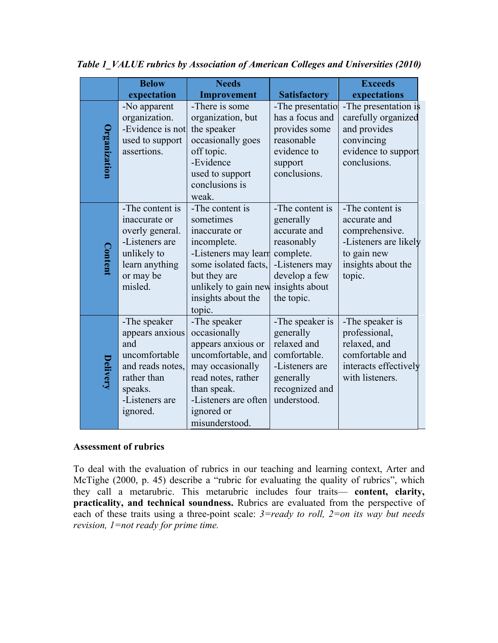|              | <b>Below</b>                                                                                                                        | <b>Needs</b>                                                                                                                                                                              |                                                                                                                                            | <b>Exceeds</b>                                                                                                            |
|--------------|-------------------------------------------------------------------------------------------------------------------------------------|-------------------------------------------------------------------------------------------------------------------------------------------------------------------------------------------|--------------------------------------------------------------------------------------------------------------------------------------------|---------------------------------------------------------------------------------------------------------------------------|
|              | expectation                                                                                                                         | Improvement                                                                                                                                                                               | <b>Satisfactory</b>                                                                                                                        | expectations                                                                                                              |
| Organization | -No apparent<br>organization.<br>-Evidence is not<br>used to support<br>assertions.                                                 | -There is some<br>organization, but<br>the speaker<br>occasionally goes<br>off topic.<br>-Evidence<br>used to support<br>conclusions is<br>weak.                                          | -The presentatio<br>has a focus and<br>provides some<br>reasonable<br>evidence to<br>support<br>conclusions.                               | -The presentation is<br>carefully organized<br>and provides<br>convincing<br>evidence to support<br>conclusions.          |
| Content      | -The content is<br>inaccurate or<br>overly general.<br>-Listeners are<br>unlikely to<br>learn anything<br>or may be<br>misled.      | -The content is<br>sometimes<br>inaccurate or<br>incomplete.<br>-Listeners may learn<br>some isolated facts,<br>but they are<br>unlikely to gain new<br>insights about the<br>topic.      | -The content is<br>generally<br>accurate and<br>reasonably<br>complete.<br>-Listeners may<br>develop a few<br>insights about<br>the topic. | -The content is<br>accurate and<br>comprehensive.<br>-Listeners are likely<br>to gain new<br>insights about the<br>topic. |
| Delivery     | -The speaker<br>appears anxious<br>and<br>uncomfortable<br>and reads notes,<br>rather than<br>speaks.<br>-Listeners are<br>ignored. | -The speaker<br>occasionally<br>appears anxious or<br>uncomfortable, and<br>may occasionally<br>read notes, rather<br>than speak.<br>-Listeners are often<br>ignored or<br>misunderstood. | -The speaker is<br>generally<br>relaxed and<br>comfortable.<br>-Listeners are<br>generally<br>recognized and<br>understood.                | -The speaker is<br>professional,<br>relaxed, and<br>comfortable and<br>interacts effectively<br>with listeners.           |

*Table 1\_VALUE rubrics by Association of American Colleges and Universities (2010)*

# **Assessment of rubrics**

To deal with the evaluation of rubrics in our teaching and learning context, Arter and McTighe (2000, p. 45) describe a "rubric for evaluating the quality of rubrics", which they call a metarubric. This metarubric includes four traits— **content, clarity, practicality, and technical soundness.** Rubrics are evaluated from the perspective of each of these traits using a three-point scale: *3=ready to roll, 2=on its way but needs revision, 1=not ready for prime time.*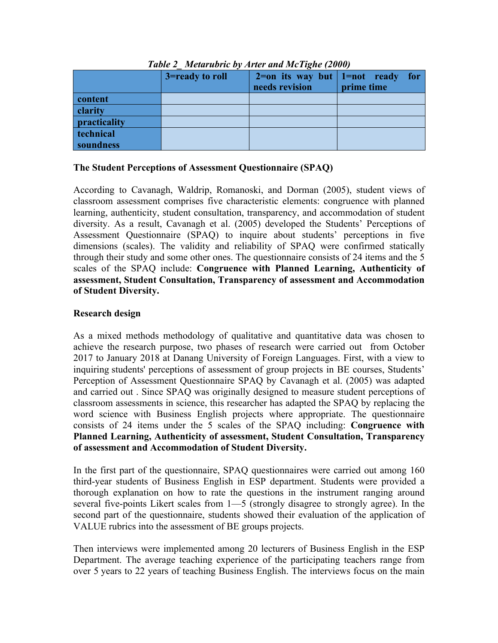|              | 3=ready to roll | needs revision | $2=$ on its way but   1=not ready for<br>prime time |
|--------------|-----------------|----------------|-----------------------------------------------------|
| content      |                 |                |                                                     |
| clarity      |                 |                |                                                     |
| practicality |                 |                |                                                     |
| technical    |                 |                |                                                     |
| soundness    |                 |                |                                                     |

# *Table 2\_ Metarubric by Arter and McTighe (2000)*

#### **The Student Perceptions of Assessment Questionnaire (SPAQ)**

According to Cavanagh, Waldrip, Romanoski, and Dorman (2005), student views of classroom assessment comprises five characteristic elements: congruence with planned learning, authenticity, student consultation, transparency, and accommodation of student diversity. As a result, Cavanagh et al. (2005) developed the Students' Perceptions of Assessment Questionnaire (SPAQ) to inquire about students' perceptions in five dimensions (scales). The validity and reliability of SPAQ were confirmed statically through their study and some other ones. The questionnaire consists of 24 items and the 5 scales of the SPAQ include: **Congruence with Planned Learning, Authenticity of assessment, Student Consultation, Transparency of assessment and Accommodation of Student Diversity.**

# **Research design**

As a mixed methods methodology of qualitative and quantitative data was chosen to achieve the research purpose, two phases of research were carried out from October 2017 to January 2018 at Danang University of Foreign Languages. First, with a view to inquiring students' perceptions of assessment of group projects in BE courses, Students' Perception of Assessment Questionnaire SPAQ by Cavanagh et al. (2005) was adapted and carried out . Since SPAQ was originally designed to measure student perceptions of classroom assessments in science, this researcher has adapted the SPAQ by replacing the word science with Business English projects where appropriate. The questionnaire consists of 24 items under the 5 scales of the SPAQ including: **Congruence with Planned Learning, Authenticity of assessment, Student Consultation, Transparency of assessment and Accommodation of Student Diversity.**

In the first part of the questionnaire, SPAQ questionnaires were carried out among 160 third-year students of Business English in ESP department. Students were provided a thorough explanation on how to rate the questions in the instrument ranging around several five-points Likert scales from 1—5 (strongly disagree to strongly agree). In the second part of the questionnaire, students showed their evaluation of the application of VALUE rubrics into the assessment of BE groups projects.

Then interviews were implemented among 20 lecturers of Business English in the ESP Department. The average teaching experience of the participating teachers range from over 5 years to 22 years of teaching Business English. The interviews focus on the main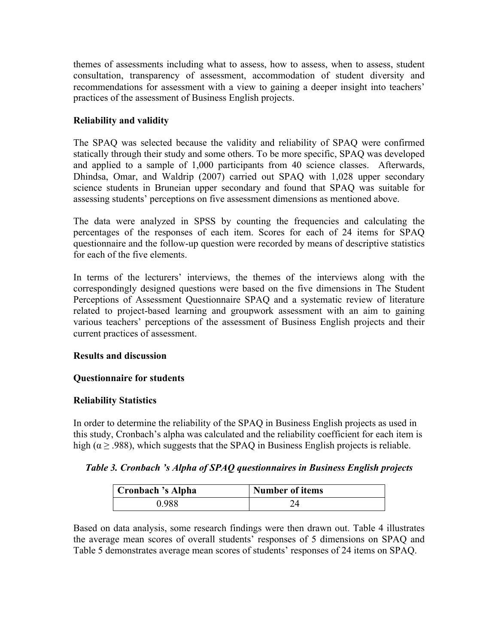themes of assessments including what to assess, how to assess, when to assess, student consultation, transparency of assessment, accommodation of student diversity and recommendations for assessment with a view to gaining a deeper insight into teachers' practices of the assessment of Business English projects.

# **Reliability and validity**

The SPAQ was selected because the validity and reliability of SPAQ were confirmed statically through their study and some others. To be more specific, SPAQ was developed and applied to a sample of 1,000 participants from 40 science classes. Afterwards, Dhindsa, Omar, and Waldrip (2007) carried out SPAQ with 1,028 upper secondary science students in Bruneian upper secondary and found that SPAQ was suitable for assessing students' perceptions on five assessment dimensions as mentioned above.

The data were analyzed in SPSS by counting the frequencies and calculating the percentages of the responses of each item. Scores for each of 24 items for SPAQ questionnaire and the follow-up question were recorded by means of descriptive statistics for each of the five elements.

In terms of the lecturers' interviews, the themes of the interviews along with the correspondingly designed questions were based on the five dimensions in The Student Perceptions of Assessment Questionnaire SPAQ and a systematic review of literature related to project-based learning and groupwork assessment with an aim to gaining various teachers' perceptions of the assessment of Business English projects and their current practices of assessment.

# **Results and discussion**

# **Questionnaire for students**

# **Reliability Statistics**

In order to determine the reliability of the SPAQ in Business English projects as used in this study, Cronbach's alpha was calculated and the reliability coefficient for each item is high ( $\alpha \geq 0.988$ ), which suggests that the SPAQ in Business English projects is reliable.

# *Table 3. Cronbach 's Alpha of SPAQ questionnaires in Business English projects*

| Cronbach 's Alpha | Number of items |  |  |
|-------------------|-----------------|--|--|
| 0 988             |                 |  |  |

Based on data analysis, some research findings were then drawn out. Table 4 illustrates the average mean scores of overall students' responses of 5 dimensions on SPAQ and Table 5 demonstrates average mean scores of students' responses of 24 items on SPAQ.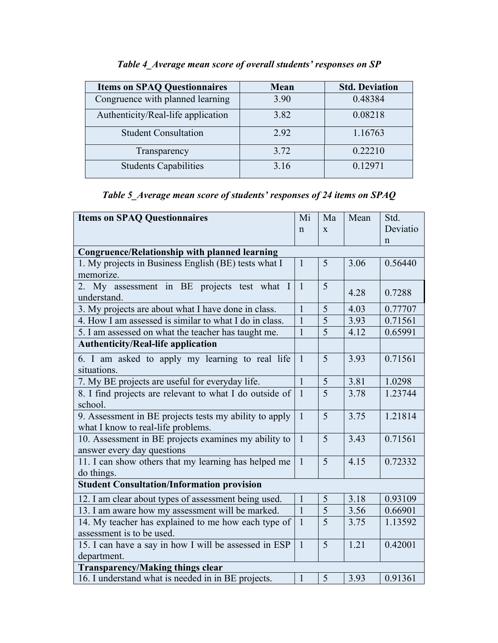| <b>Items on SPAQ Questionnaires</b> | <b>Mean</b> | <b>Std. Deviation</b> |
|-------------------------------------|-------------|-----------------------|
| Congruence with planned learning    | 3.90        | 0.48384               |
| Authenticity/Real-life application  | 3.82        | 0.08218               |
| <b>Student Consultation</b>         | 292         | 1.16763               |
| Transparency                        | 3.72        | 0.22210               |
| <b>Students Capabilities</b>        | 3.16        | 0.12971               |

# *Table 4\_Average mean score of overall students' responses on SP*

# *Table 5\_Average mean score of students' responses of 24 items on SPAQ*

| <b>Items on SPAQ Questionnaires</b>                     | Mi             | Ma             | Mean | Std.     |
|---------------------------------------------------------|----------------|----------------|------|----------|
|                                                         | $\mathsf{n}$   | X              |      | Deviatio |
|                                                         |                |                |      | n        |
| <b>Congruence/Relationship with planned learning</b>    |                |                |      |          |
| 1. My projects in Business English (BE) tests what I    | $\mathbf{1}$   | 5              | 3.06 | 0.56440  |
| memorize.                                               |                |                |      |          |
| 2. My assessment in BE projects test what I             | $\overline{1}$ | 5              | 4.28 | 0.7288   |
| understand.                                             |                |                |      |          |
| 3. My projects are about what I have done in class.     | 1              | 5              | 4.03 | 0.77707  |
| 4. How I am assessed is similar to what I do in class.  | $\overline{1}$ | $\overline{5}$ | 3.93 | 0.71561  |
| 5. I am assessed on what the teacher has taught me.     | $\mathbf{1}$   | $\overline{5}$ | 4.12 | 0.65991  |
| <b>Authenticity/Real-life application</b>               |                |                |      |          |
| 6. I am asked to apply my learning to real life         | $\mathbf{1}$   | 5              | 3.93 | 0.71561  |
| situations.                                             |                |                |      |          |
| 7. My BE projects are useful for everyday life.         | $\mathbf{1}$   | 5              | 3.81 | 1.0298   |
| 8. I find projects are relevant to what I do outside of | $\mathbf{1}$   | $\overline{5}$ | 3.78 | 1.23744  |
| school.                                                 |                |                |      |          |
| 9. Assessment in BE projects tests my ability to apply  | $\mathbf{1}$   | 5              | 3.75 | 1.21814  |
| what I know to real-life problems.                      |                |                |      |          |
| 10. Assessment in BE projects examines my ability to    | $\mathbf{1}$   | 5              | 3.43 | 0.71561  |
| answer every day questions                              |                |                |      |          |
| 11. I can show others that my learning has helped me    | $\mathbf{1}$   | 5              | 4.15 | 0.72332  |
| do things.                                              |                |                |      |          |
| <b>Student Consultation/Information provision</b>       |                |                |      |          |
| 12. I am clear about types of assessment being used.    | $\mathbf{1}$   | 5              | 3.18 | 0.93109  |
| 13. I am aware how my assessment will be marked.        | $\overline{1}$ | $\overline{5}$ | 3.56 | 0.66901  |
| 14. My teacher has explained to me how each type of     | $\mathbf{1}$   | 5              | 3.75 | 1.13592  |
| assessment is to be used.                               |                |                |      |          |
| 15. I can have a say in how I will be assessed in ESP   | $\mathbf{1}$   | 5              | 1.21 | 0.42001  |
| department.                                             |                |                |      |          |
| <b>Transparency/Making things clear</b>                 |                |                |      |          |
| 16. I understand what is needed in in BE projects.      | $\mathbf{1}$   | 5              | 3.93 | 0.91361  |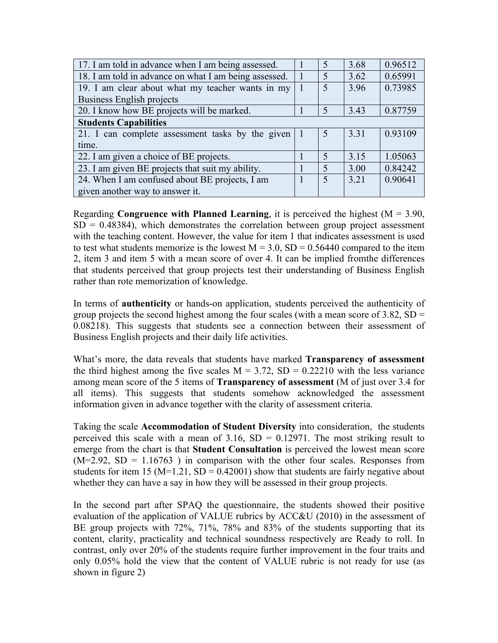| 17. I am told in advance when I am being assessed.    |  |                          | 3.68 | 0.96512 |
|-------------------------------------------------------|--|--------------------------|------|---------|
| 18. I am told in advance on what I am being assessed. |  |                          | 3.62 | 0.65991 |
| 19. I am clear about what my teacher wants in my      |  | 5                        | 3.96 | 0.73985 |
| Business English projects                             |  |                          |      |         |
| 20. I know how BE projects will be marked.            |  | 5                        | 3.43 | 0.87759 |
| <b>Students Capabilities</b>                          |  |                          |      |         |
| 21. I can complete assessment tasks by the given 1    |  | 5                        | 3.31 | 0.93109 |
| time.                                                 |  |                          |      |         |
| 22. I am given a choice of BE projects.               |  | $\overline{\mathcal{L}}$ | 3.15 | 1.05063 |
| 23. I am given BE projects that suit my ability.      |  | $\overline{\mathcal{L}}$ | 3.00 | 0.84242 |
| 24. When I am confused about BE projects, I am        |  | 5                        | 3.21 | 0.90641 |
| given another way to answer it.                       |  |                          |      |         |

Regarding **Congruence with Planned Learning**, it is perceived the highest  $(M = 3.90,$  $SD = 0.48384$ , which demonstrates the correlation between group project assessment with the teaching content. However, the value for item 1 that indicates assessment is used to test what students memorize is the lowest  $M = 3.0$ ,  $SD = 0.56440$  compared to the item 2, item 3 and item 5 with a mean score of over 4. It can be implied fromthe differences that students perceived that group projects test their understanding of Business English rather than rote memorization of knowledge.

In terms of **authenticity** or hands-on application, students perceived the authenticity of group projects the second highest among the four scales (with a mean score of  $3.82$ , SD = 0.08218). This suggests that students see a connection between their assessment of Business English projects and their daily life activities.

What's more, the data reveals that students have marked **Transparency of assessment** the third highest among the five scales  $M = 3.72$ ,  $SD = 0.22210$  with the less variance among mean score of the 5 items of **Transparency of assessment** (M of just over 3.4 for all items). This suggests that students somehow acknowledged the assessment information given in advance together with the clarity of assessment criteria.

Taking the scale **Accommodation of Student Diversity** into consideration, the students perceived this scale with a mean of  $3.16$ ,  $SD = 0.12971$ . The most striking result to emerge from the chart is that **Student Consultation** is perceived the lowest mean score  $(M=2.92, SD = 1.16763)$  in comparison with the other four scales. Responses from students for item 15 ( $M=1.21$ ,  $SD = 0.42001$ ) show that students are fairly negative about whether they can have a say in how they will be assessed in their group projects.

In the second part after SPAQ the questionnaire, the students showed their positive evaluation of the application of VALUE rubrics by ACC&U (2010) in the assessment of BE group projects with 72%, 71%, 78% and 83% of the students supporting that its content, clarity, practicality and technical soundness respectively are Ready to roll. In contrast, only over 20% of the students require further improvement in the four traits and only 0.05% hold the view that the content of VALUE rubric is not ready for use (as shown in figure 2)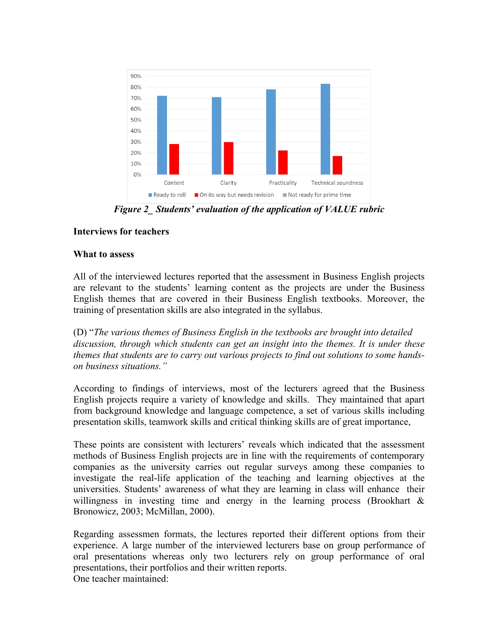

*Figure 2\_ Students' evaluation of the application of VALUE rubric*

# **Interviews for teachers**

#### **What to assess**

All of the interviewed lectures reported that the assessment in Business English projects are relevant to the students' learning content as the projects are under the Business English themes that are covered in their Business English textbooks. Moreover, the training of presentation skills are also integrated in the syllabus.

(D) "*The various themes of Business English in the textbooks are brought into detailed discussion, through which students can get an insight into the themes. It is under these themes that students are to carry out various projects to find out solutions to some handson business situations."*

According to findings of interviews, most of the lecturers agreed that the Business English projects require a variety of knowledge and skills. They maintained that apart from background knowledge and language competence, a set of various skills including presentation skills, teamwork skills and critical thinking skills are of great importance,

These points are consistent with lecturers' reveals which indicated that the assessment methods of Business English projects are in line with the requirements of contemporary companies as the university carries out regular surveys among these companies to investigate the real-life application of the teaching and learning objectives at the universities. Students' awareness of what they are learning in class will enhance their willingness in investing time and energy in the learning process (Brookhart & Bronowicz, 2003; McMillan, 2000).

Regarding assessmen formats, the lectures reported their different options from their experience. A large number of the interviewed lecturers base on group performance of oral presentations whereas only two lecturers rely on group performance of oral presentations, their portfolios and their written reports. One teacher maintained: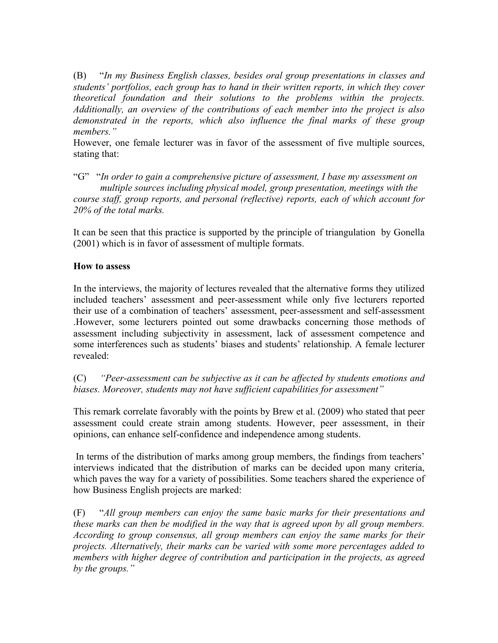(B) "*In my Business English classes, besides oral group presentations in classes and students' portfolios, each group has to hand in their written reports, in which they cover theoretical foundation and their solutions to the problems within the projects. Additionally, an overview of the contributions of each member into the project is also demonstrated in the reports, which also influence the final marks of these group members."*

However, one female lecturer was in favor of the assessment of five multiple sources, stating that:

"G" "*In order to gain a comprehensive picture of assessment, I base my assessment on multiple sources including physical model, group presentation, meetings with the course staff, group reports, and personal (reflective) reports, each of which account for 20% of the total marks.*

It can be seen that this practice is supported by the principle of triangulation by Gonella (2001) which is in favor of assessment of multiple formats.

#### **How to assess**

In the interviews, the majority of lectures revealed that the alternative forms they utilized included teachers' assessment and peer-assessment while only five lecturers reported their use of a combination of teachers' assessment, peer-assessment and self-assessment .However, some lecturers pointed out some drawbacks concerning those methods of assessment including subjectivity in assessment, lack of assessment competence and some interferences such as students' biases and students' relationship. A female lecturer revealed:

(C) *"Peer-assessment can be subjective as it can be affected by students emotions and biases. Moreover, students may not have sufficient capabilities for assessment"*

This remark correlate favorably with the points by Brew et al. (2009) who stated that peer assessment could create strain among students. However, peer assessment, in their opinions, can enhance self-confidence and independence among students.

In terms of the distribution of marks among group members, the findings from teachers' interviews indicated that the distribution of marks can be decided upon many criteria, which paves the way for a variety of possibilities. Some teachers shared the experience of how Business English projects are marked:

(F) "*All group members can enjoy the same basic marks for their presentations and these marks can then be modified in the way that is agreed upon by all group members. According to group consensus, all group members can enjoy the same marks for their projects. Alternatively, their marks can be varied with some more percentages added to members with higher degree of contribution and participation in the projects, as agreed by the groups."*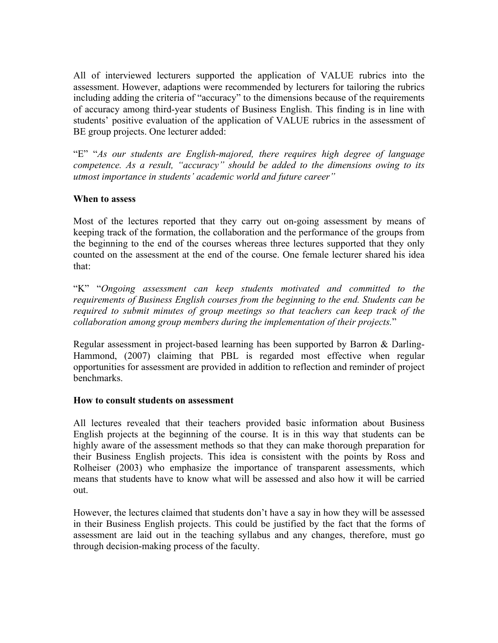All of interviewed lecturers supported the application of VALUE rubrics into the assessment. However, adaptions were recommended by lecturers for tailoring the rubrics including adding the criteria of "accuracy" to the dimensions because of the requirements of accuracy among third-year students of Business English. This finding is in line with students' positive evaluation of the application of VALUE rubrics in the assessment of BE group projects. One lecturer added:

"E" "*As our students are English-majored, there requires high degree of language competence. As a result, "accuracy" should be added to the dimensions owing to its utmost importance in students' academic world and future career"*

#### **When to assess**

Most of the lectures reported that they carry out on-going assessment by means of keeping track of the formation, the collaboration and the performance of the groups from the beginning to the end of the courses whereas three lectures supported that they only counted on the assessment at the end of the course. One female lecturer shared his idea that:

"K" "*Ongoing assessment can keep students motivated and committed to the requirements of Business English courses from the beginning to the end. Students can be required to submit minutes of group meetings so that teachers can keep track of the collaboration among group members during the implementation of their projects.*"

Regular assessment in project-based learning has been supported by Barron & Darling-Hammond, (2007) claiming that PBL is regarded most effective when regular opportunities for assessment are provided in addition to reflection and reminder of project benchmarks.

#### **How to consult students on assessment**

All lectures revealed that their teachers provided basic information about Business English projects at the beginning of the course. It is in this way that students can be highly aware of the assessment methods so that they can make thorough preparation for their Business English projects. This idea is consistent with the points by Ross and Rolheiser (2003) who emphasize the importance of transparent assessments, which means that students have to know what will be assessed and also how it will be carried out.

However, the lectures claimed that students don't have a say in how they will be assessed in their Business English projects. This could be justified by the fact that the forms of assessment are laid out in the teaching syllabus and any changes, therefore, must go through decision-making process of the faculty.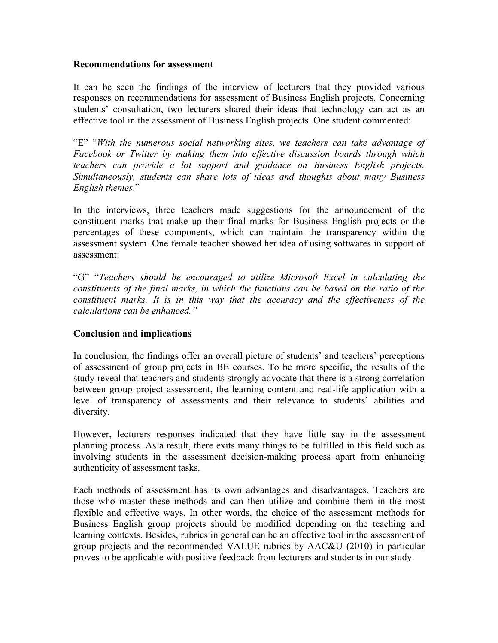#### **Recommendations for assessment**

It can be seen the findings of the interview of lecturers that they provided various responses on recommendations for assessment of Business English projects. Concerning students' consultation, two lecturers shared their ideas that technology can act as an effective tool in the assessment of Business English projects. One student commented:

"E" "*With the numerous social networking sites, we teachers can take advantage of Facebook or Twitter by making them into effective discussion boards through which teachers can provide a lot support and guidance on Business English projects. Simultaneously, students can share lots of ideas and thoughts about many Business English themes*."

In the interviews, three teachers made suggestions for the announcement of the constituent marks that make up their final marks for Business English projects or the percentages of these components, which can maintain the transparency within the assessment system. One female teacher showed her idea of using softwares in support of assessment:

"G" "*Teachers should be encouraged to utilize Microsoft Excel in calculating the constituents of the final marks, in which the functions can be based on the ratio of the constituent marks. It is in this way that the accuracy and the effectiveness of the calculations can be enhanced."*

#### **Conclusion and implications**

In conclusion, the findings offer an overall picture of students' and teachers' perceptions of assessment of group projects in BE courses. To be more specific, the results of the study reveal that teachers and students strongly advocate that there is a strong correlation between group project assessment, the learning content and real-life application with a level of transparency of assessments and their relevance to students' abilities and diversity.

However, lecturers responses indicated that they have little say in the assessment planning process. As a result, there exits many things to be fulfilled in this field such as involving students in the assessment decision-making process apart from enhancing authenticity of assessment tasks.

Each methods of assessment has its own advantages and disadvantages. Teachers are those who master these methods and can then utilize and combine them in the most flexible and effective ways. In other words, the choice of the assessment methods for Business English group projects should be modified depending on the teaching and learning contexts. Besides, rubrics in general can be an effective tool in the assessment of group projects and the recommended VALUE rubrics by AAC&U (2010) in particular proves to be applicable with positive feedback from lecturers and students in our study.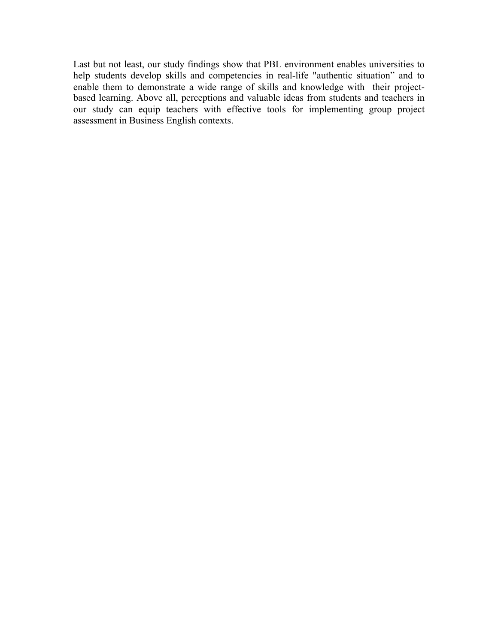Last but not least, our study findings show that PBL environment enables universities to help students develop skills and competencies in real-life "authentic situation" and to enable them to demonstrate a wide range of skills and knowledge with their projectbased learning. Above all, perceptions and valuable ideas from students and teachers in our study can equip teachers with effective tools for implementing group project assessment in Business English contexts.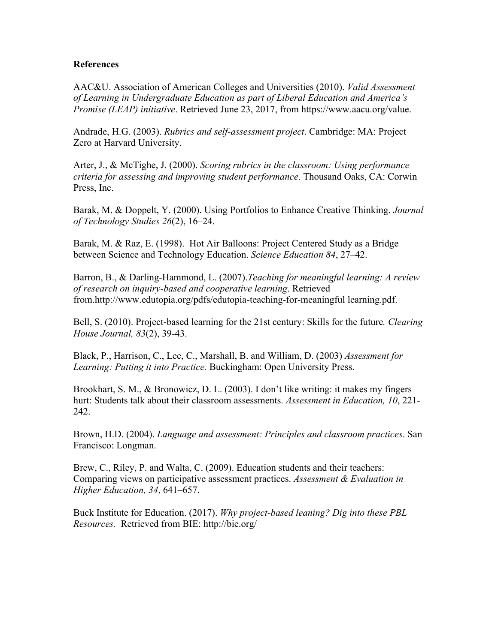#### **References**

AAC&U. Association of American Colleges and Universities (2010). *Valid Assessment of Learning in Undergraduate Education as part of Liberal Education and America's Promise (LEAP) initiative*. Retrieved June 23, 2017, from https://www.aacu.org/value.

Andrade, H.G. (2003). *Rubrics and self-assessment project*. Cambridge: MA: Project Zero at Harvard University.

Arter, J., & McTighe, J. (2000). *Scoring rubrics in the classroom: Using performance criteria for assessing and improving student performance*. Thousand Oaks, CA: Corwin Press, Inc.

Barak, M. & Doppelt, Y. (2000). Using Portfolios to Enhance Creative Thinking. *Journal of Technology Studies 26*(2), 16–24.

Barak, M. & Raz, E. (1998). Hot Air Balloons: Project Centered Study as a Bridge between Science and Technology Education. *Science Education 84*, 27–42.

Barron, B., & Darling-Hammond, L. (2007).*Teaching for meaningful learning: A review of research on inquiry-based and cooperative learning*. Retrieved from.http://www.edutopia.org/pdfs/edutopia-teaching-for-meaningful learning.pdf.

Bell, S. (2010). Project-based learning for the 21st century: Skills for the future*. Clearing House Journal, 83*(2), 39-43.

Black, P., Harrison, C., Lee, C., Marshall, B. and William, D. (2003) *Assessment for Learning: Putting it into Practice.* Buckingham: Open University Press.

Brookhart, S. M., & Bronowicz, D. L. (2003). I don't like writing: it makes my fingers hurt: Students talk about their classroom assessments. *Assessment in Education, 10*, 221- 242.

Brown, H.D. (2004). *Language and assessment: Principles and classroom practices*. San Francisco: Longman.

Brew, C., Riley, P. and Walta, C. (2009). Education students and their teachers: Comparing views on participative assessment practices. *Assessment & Evaluation in Higher Education, 34*, 641–657.

Buck Institute for Education. (2017). *Why project-based leaning? Dig into these PBL Resources.* Retrieved from BIE: http://bie.org/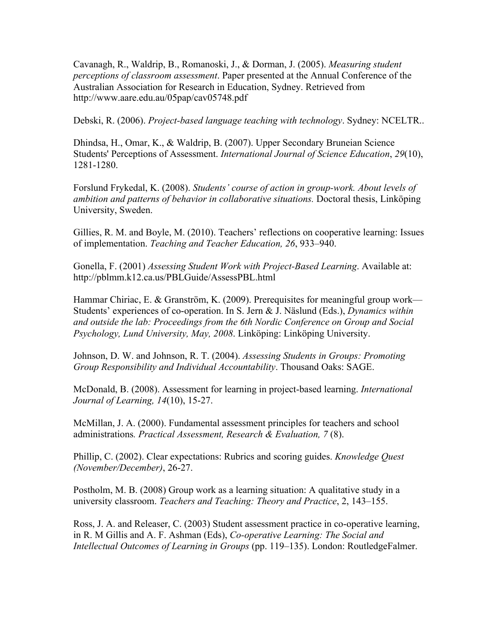Cavanagh, R., Waldrip, B., Romanoski, J., & Dorman, J. (2005). *Measuring student perceptions of classroom assessment*. Paper presented at the Annual Conference of the Australian Association for Research in Education, Sydney. Retrieved from http://www.aare.edu.au/05pap/cav05748.pdf

Debski, R. (2006). *Project-based language teaching with technology*. Sydney: NCELTR..

Dhindsa, H., Omar, K., & Waldrip, B. (2007). Upper Secondary Bruneian Science Students' Perceptions of Assessment. *International Journal of Science Education*, *29*(10), 1281-1280.

Forslund Frykedal, K. (2008). *Students' course of action in group-work. About levels of ambition and patterns of behavior in collaborative situations.* Doctoral thesis, Linköping University, Sweden.

Gillies, R. M. and Boyle, M. (2010). Teachers' reflections on cooperative learning: Issues of implementation. *Teaching and Teacher Education, 26*, 933–940.

Gonella, F. (2001) *Assessing Student Work with Project-Based Learning*. Available at: http://pblmm.k12.ca.us/PBLGuide/AssessPBL.html

Hammar Chiriac, E. & Granström, K. (2009). Prerequisites for meaningful group work— Students' experiences of co-operation. In S. Jern & J. Näslund (Eds.), *Dynamics within and outside the lab: Proceedings from the 6th Nordic Conference on Group and Social Psychology, Lund University, May, 2008*. Linköping: Linköping University.

Johnson, D. W. and Johnson, R. T. (2004). *Assessing Students in Groups: Promoting Group Responsibility and Individual Accountability*. Thousand Oaks: SAGE.

McDonald, B. (2008). Assessment for learning in project-based learning. *International Journal of Learning, 14*(10), 15-27.

McMillan, J. A. (2000). Fundamental assessment principles for teachers and school administrations*. Practical Assessment, Research & Evaluation, 7* (8).

Phillip, C. (2002). Clear expectations: Rubrics and scoring guides. *Knowledge Quest (November/December)*, 26-27.

Postholm, M. B. (2008) Group work as a learning situation: A qualitative study in a university classroom. *Teachers and Teaching: Theory and Practice*, 2, 143–155.

Ross, J. A. and Releaser, C. (2003) Student assessment practice in co-operative learning, in R. M Gillis and A. F. Ashman (Eds), *Co-operative Learning: The Social and Intellectual Outcomes of Learning in Groups* (pp. 119–135). London: RoutledgeFalmer.